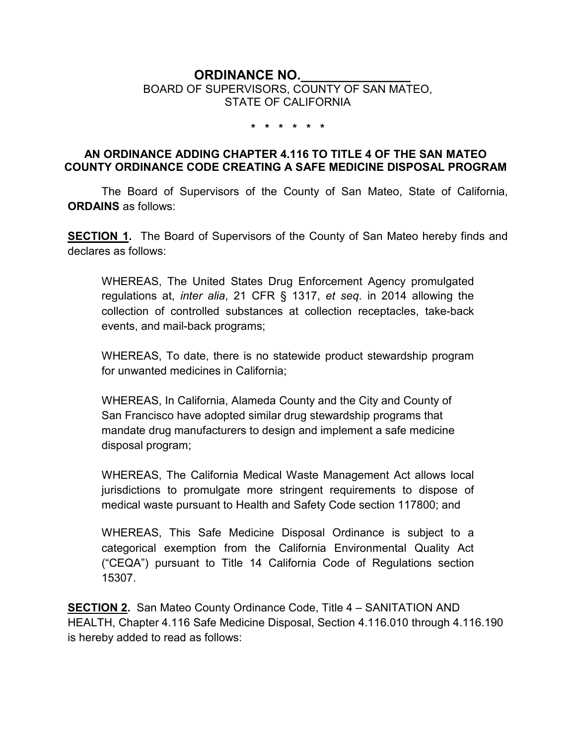## **ORDINANCE NO.**

#### BOARD OF SUPERVISORS, COUNTY OF SAN MATEO, STATE OF CALIFORNIA

**\* \* \* \* \* \***

#### **AN ORDINANCE ADDING CHAPTER 4.116 TO TITLE 4 OF THE SAN MATEO COUNTY ORDINANCE CODE CREATING A SAFE MEDICINE DISPOSAL PROGRAM**

The Board of Supervisors of the County of San Mateo, State of California, **ORDAINS** as follows:

**SECTION 1.** The Board of Supervisors of the County of San Mateo hereby finds and declares as follows:

WHEREAS, The United States Drug Enforcement Agency promulgated regulations at, *inter alia*, 21 CFR § 1317, *et seq*. in 2014 allowing the collection of controlled substances at collection receptacles, take-back events, and mail-back programs;

WHEREAS, To date, there is no statewide product stewardship program for unwanted medicines in California;

WHEREAS, In California, Alameda County and the City and County of San Francisco have adopted similar drug stewardship programs that mandate drug manufacturers to design and implement a safe medicine disposal program;

WHEREAS, The California Medical Waste Management Act allows local jurisdictions to promulgate more stringent requirements to dispose of medical waste pursuant to Health and Safety Code section 117800; and

WHEREAS, This Safe Medicine Disposal Ordinance is subject to a categorical exemption from the California Environmental Quality Act ("CEQA") pursuant to Title 14 California Code of Regulations section 15307.

**SECTION 2.** San Mateo County Ordinance Code, Title 4 – SANITATION AND HEALTH, Chapter 4.116 Safe Medicine Disposal, Section 4.116.010 through 4.116.190 is hereby added to read as follows: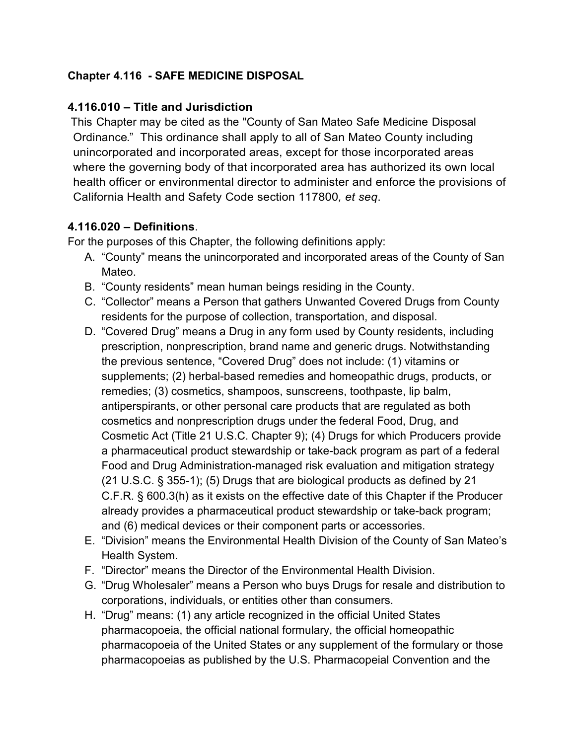### **Chapter 4.116 - SAFE MEDICINE DISPOSAL**

### **4.116.010 – Title and Jurisdiction**

 This Chapter may be cited as the "County of San Mateo Safe Medicine Disposal Ordinance." This ordinance shall apply to all of San Mateo County including unincorporated and incorporated areas, except for those incorporated areas where the governing body of that incorporated area has authorized its own local health officer or environmental director to administer and enforce the provisions of California Health and Safety Code section 117800*, et seq*.

### **4.116.020 – Definitions**.

For the purposes of this Chapter, the following definitions apply:

- A. "County" means the unincorporated and incorporated areas of the County of San Mateo.
- B. "County residents" mean human beings residing in the County.
- C. "Collector" means a Person that gathers Unwanted Covered Drugs from County residents for the purpose of collection, transportation, and disposal.
- D. "Covered Drug" means a Drug in any form used by County residents, including prescription, nonprescription, brand name and generic drugs. Notwithstanding the previous sentence, "Covered Drug" does not include: (1) vitamins or supplements; (2) herbal-based remedies and homeopathic drugs, products, or remedies; (3) cosmetics, shampoos, sunscreens, toothpaste, lip balm, antiperspirants, or other personal care products that are regulated as both cosmetics and nonprescription drugs under the federal Food, Drug, and Cosmetic Act (Title 21 U.S.C. Chapter 9); (4) Drugs for which Producers provide a pharmaceutical product stewardship or take-back program as part of a federal Food and Drug Administration-managed risk evaluation and mitigation strategy (21 U.S.C. § 355-1); (5) Drugs that are biological products as defined by 21 C.F.R. § 600.3(h) as it exists on the effective date of this Chapter if the Producer already provides a pharmaceutical product stewardship or take-back program; and (6) medical devices or their component parts or accessories.
- E. "Division" means the Environmental Health Division of the County of San Mateo's Health System.
- F. "Director" means the Director of the Environmental Health Division.
- G. "Drug Wholesaler" means a Person who buys Drugs for resale and distribution to corporations, individuals, or entities other than consumers.
- H. "Drug" means: (1) any article recognized in the official United States pharmacopoeia, the official national formulary, the official homeopathic pharmacopoeia of the United States or any supplement of the formulary or those pharmacopoeias as published by the U.S. Pharmacopeial Convention and the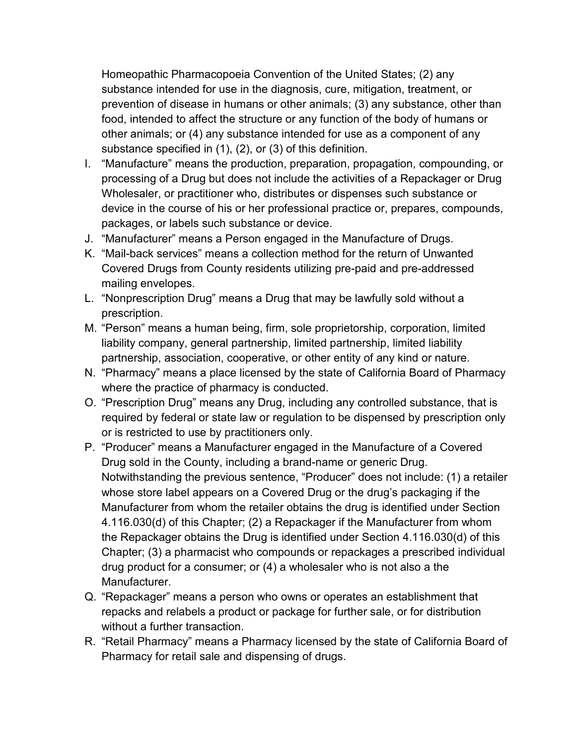Homeopathic Pharmacopoeia Convention of the United States; (2) any substance intended for use in the diagnosis, cure, mitigation, treatment, or prevention of disease in humans or other animals; (3) any substance, other than food, intended to affect the structure or any function of the body of humans or other animals; or (4) any substance intended for use as a component of any substance specified in (1), (2), or (3) of this definition.

- I. "Manufacture" means the production, preparation, propagation, compounding, or processing of a Drug but does not include the activities of a Repackager or Drug Wholesaler, or practitioner who, distributes or dispenses such substance or device in the course of his or her professional practice or, prepares, compounds, packages, or labels such substance or device.
- J. "Manufacturer" means a Person engaged in the Manufacture of Drugs.
- K. "Mail-back services" means a collection method for the return of Unwanted Covered Drugs from County residents utilizing pre-paid and pre-addressed mailing envelopes.
- L. "Nonprescription Drug" means a Drug that may be lawfully sold without a prescription.
- M. "Person" means a human being, firm, sole proprietorship, corporation, limited liability company, general partnership, limited partnership, limited liability partnership, association, cooperative, or other entity of any kind or nature.
- N. "Pharmacy" means a place licensed by the state of California Board of Pharmacy where the practice of pharmacy is conducted.
- O. "Prescription Drug" means any Drug, including any controlled substance, that is required by federal or state law or regulation to be dispensed by prescription only or is restricted to use by practitioners only.
- P. "Producer" means a Manufacturer engaged in the Manufacture of a Covered Drug sold in the County, including a brand-name or generic Drug. Notwithstanding the previous sentence, "Producer" does not include: (1) a retailer whose store label appears on a Covered Drug or the drug's packaging if the Manufacturer from whom the retailer obtains the drug is identified under Section 4.116.030(d) of this Chapter; (2) a Repackager if the Manufacturer from whom the Repackager obtains the Drug is identified under Section 4.116.030(d) of this Chapter; (3) a pharmacist who compounds or repackages a prescribed individual drug product for a consumer; or (4) a wholesaler who is not also a the Manufacturer.
- Q. "Repackager" means a person who owns or operates an establishment that repacks and relabels a product or package for further sale, or for distribution without a further transaction.
- R. "Retail Pharmacy" means a Pharmacy licensed by the state of California Board of Pharmacy for retail sale and dispensing of drugs.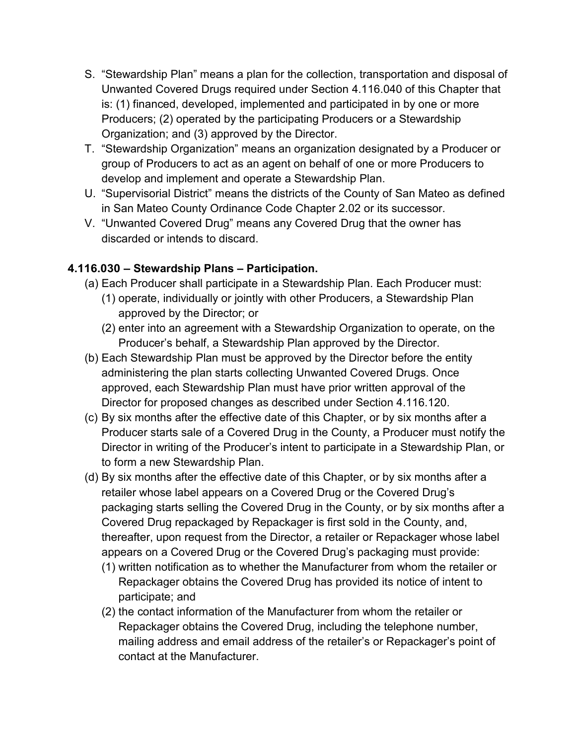- S. "Stewardship Plan" means a plan for the collection, transportation and disposal of Unwanted Covered Drugs required under Section 4.116.040 of this Chapter that is: (1) financed, developed, implemented and participated in by one or more Producers; (2) operated by the participating Producers or a Stewardship Organization; and (3) approved by the Director.
- T. "Stewardship Organization" means an organization designated by a Producer or group of Producers to act as an agent on behalf of one or more Producers to develop and implement and operate a Stewardship Plan.
- U. "Supervisorial District" means the districts of the County of San Mateo as defined in San Mateo County Ordinance Code Chapter 2.02 or its successor.
- V. "Unwanted Covered Drug" means any Covered Drug that the owner has discarded or intends to discard.

## **4.116.030 – Stewardship Plans – Participation.**

- (a) Each Producer shall participate in a Stewardship Plan. Each Producer must:
	- (1) operate, individually or jointly with other Producers, a Stewardship Plan approved by the Director; or
	- (2) enter into an agreement with a Stewardship Organization to operate, on the Producer's behalf, a Stewardship Plan approved by the Director.
- (b) Each Stewardship Plan must be approved by the Director before the entity administering the plan starts collecting Unwanted Covered Drugs. Once approved, each Stewardship Plan must have prior written approval of the Director for proposed changes as described under Section 4.116.120.
- (c) By six months after the effective date of this Chapter, or by six months after a Producer starts sale of a Covered Drug in the County, a Producer must notify the Director in writing of the Producer's intent to participate in a Stewardship Plan, or to form a new Stewardship Plan.
- (d) By six months after the effective date of this Chapter, or by six months after a retailer whose label appears on a Covered Drug or the Covered Drug's packaging starts selling the Covered Drug in the County, or by six months after a Covered Drug repackaged by Repackager is first sold in the County, and, thereafter, upon request from the Director, a retailer or Repackager whose label appears on a Covered Drug or the Covered Drug's packaging must provide:
	- (1) written notification as to whether the Manufacturer from whom the retailer or Repackager obtains the Covered Drug has provided its notice of intent to participate; and
	- (2) the contact information of the Manufacturer from whom the retailer or Repackager obtains the Covered Drug, including the telephone number, mailing address and email address of the retailer's or Repackager's point of contact at the Manufacturer.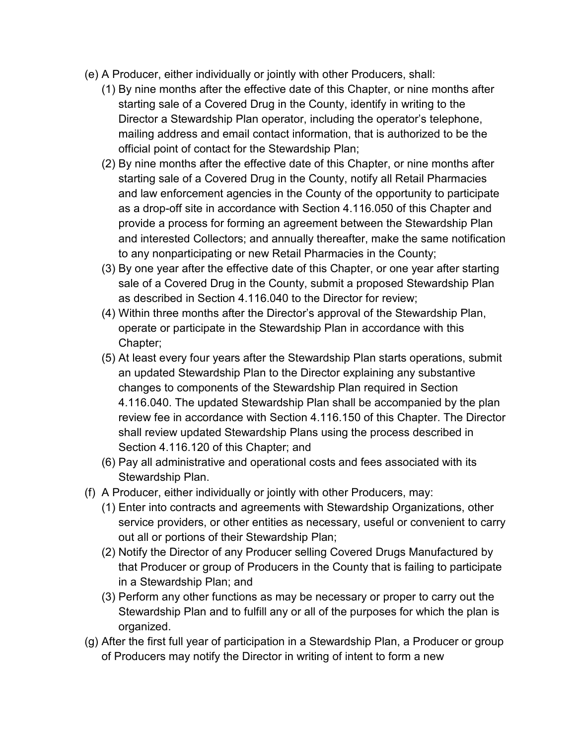- (e) A Producer, either individually or jointly with other Producers, shall:
	- (1) By nine months after the effective date of this Chapter, or nine months after starting sale of a Covered Drug in the County, identify in writing to the Director a Stewardship Plan operator, including the operator's telephone, mailing address and email contact information, that is authorized to be the official point of contact for the Stewardship Plan;
	- (2) By nine months after the effective date of this Chapter, or nine months after starting sale of a Covered Drug in the County, notify all Retail Pharmacies and law enforcement agencies in the County of the opportunity to participate as a drop-off site in accordance with Section 4.116.050 of this Chapter and provide a process for forming an agreement between the Stewardship Plan and interested Collectors; and annually thereafter, make the same notification to any nonparticipating or new Retail Pharmacies in the County;
	- (3) By one year after the effective date of this Chapter, or one year after starting sale of a Covered Drug in the County, submit a proposed Stewardship Plan as described in Section 4.116.040 to the Director for review;
	- (4) Within three months after the Director's approval of the Stewardship Plan, operate or participate in the Stewardship Plan in accordance with this Chapter;
	- (5) At least every four years after the Stewardship Plan starts operations, submit an updated Stewardship Plan to the Director explaining any substantive changes to components of the Stewardship Plan required in Section 4.116.040. The updated Stewardship Plan shall be accompanied by the plan review fee in accordance with Section 4.116.150 of this Chapter. The Director shall review updated Stewardship Plans using the process described in Section 4.116.120 of this Chapter; and
	- (6) Pay all administrative and operational costs and fees associated with its Stewardship Plan.
- (f) A Producer, either individually or jointly with other Producers, may:
	- (1) Enter into contracts and agreements with Stewardship Organizations, other service providers, or other entities as necessary, useful or convenient to carry out all or portions of their Stewardship Plan;
	- (2) Notify the Director of any Producer selling Covered Drugs Manufactured by that Producer or group of Producers in the County that is failing to participate in a Stewardship Plan; and
	- (3) Perform any other functions as may be necessary or proper to carry out the Stewardship Plan and to fulfill any or all of the purposes for which the plan is organized.
- (g) After the first full year of participation in a Stewardship Plan, a Producer or group of Producers may notify the Director in writing of intent to form a new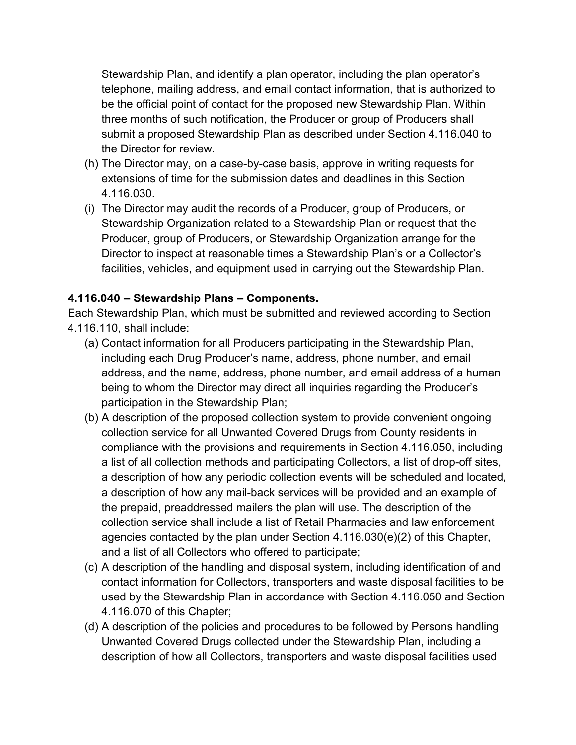Stewardship Plan, and identify a plan operator, including the plan operator's telephone, mailing address, and email contact information, that is authorized to be the official point of contact for the proposed new Stewardship Plan. Within three months of such notification, the Producer or group of Producers shall submit a proposed Stewardship Plan as described under Section 4.116.040 to the Director for review.

- (h) The Director may, on a case-by-case basis, approve in writing requests for extensions of time for the submission dates and deadlines in this Section 4.116.030.
- (i) The Director may audit the records of a Producer, group of Producers, or Stewardship Organization related to a Stewardship Plan or request that the Producer, group of Producers, or Stewardship Organization arrange for the Director to inspect at reasonable times a Stewardship Plan's or a Collector's facilities, vehicles, and equipment used in carrying out the Stewardship Plan.

### **4.116.040 – Stewardship Plans – Components.**

Each Stewardship Plan, which must be submitted and reviewed according to Section 4.116.110, shall include:

- (a) Contact information for all Producers participating in the Stewardship Plan, including each Drug Producer's name, address, phone number, and email address, and the name, address, phone number, and email address of a human being to whom the Director may direct all inquiries regarding the Producer's participation in the Stewardship Plan;
- (b) A description of the proposed collection system to provide convenient ongoing collection service for all Unwanted Covered Drugs from County residents in compliance with the provisions and requirements in Section 4.116.050, including a list of all collection methods and participating Collectors, a list of drop-off sites, a description of how any periodic collection events will be scheduled and located, a description of how any mail-back services will be provided and an example of the prepaid, preaddressed mailers the plan will use. The description of the collection service shall include a list of Retail Pharmacies and law enforcement agencies contacted by the plan under Section 4.116.030(e)(2) of this Chapter, and a list of all Collectors who offered to participate;
- (c) A description of the handling and disposal system, including identification of and contact information for Collectors, transporters and waste disposal facilities to be used by the Stewardship Plan in accordance with Section 4.116.050 and Section 4.116.070 of this Chapter;
- (d) A description of the policies and procedures to be followed by Persons handling Unwanted Covered Drugs collected under the Stewardship Plan, including a description of how all Collectors, transporters and waste disposal facilities used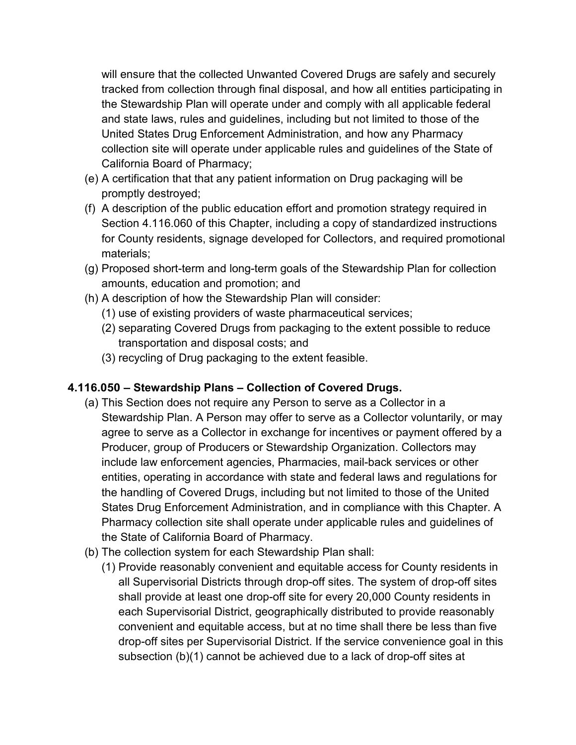will ensure that the collected Unwanted Covered Drugs are safely and securely tracked from collection through final disposal, and how all entities participating in the Stewardship Plan will operate under and comply with all applicable federal and state laws, rules and guidelines, including but not limited to those of the United States Drug Enforcement Administration, and how any Pharmacy collection site will operate under applicable rules and guidelines of the State of California Board of Pharmacy;

- (e) A certification that that any patient information on Drug packaging will be promptly destroyed;
- (f) A description of the public education effort and promotion strategy required in Section 4.116.060 of this Chapter, including a copy of standardized instructions for County residents, signage developed for Collectors, and required promotional materials;
- (g) Proposed short-term and long-term goals of the Stewardship Plan for collection amounts, education and promotion; and
- (h) A description of how the Stewardship Plan will consider:
	- (1) use of existing providers of waste pharmaceutical services;
	- (2) separating Covered Drugs from packaging to the extent possible to reduce transportation and disposal costs; and
	- (3) recycling of Drug packaging to the extent feasible.

#### **4.116.050 – Stewardship Plans – Collection of Covered Drugs.**

- (a) This Section does not require any Person to serve as a Collector in a Stewardship Plan. A Person may offer to serve as a Collector voluntarily, or may agree to serve as a Collector in exchange for incentives or payment offered by a Producer, group of Producers or Stewardship Organization. Collectors may include law enforcement agencies, Pharmacies, mail-back services or other entities, operating in accordance with state and federal laws and regulations for the handling of Covered Drugs, including but not limited to those of the United States Drug Enforcement Administration, and in compliance with this Chapter. A Pharmacy collection site shall operate under applicable rules and guidelines of the State of California Board of Pharmacy.
- (b) The collection system for each Stewardship Plan shall:
	- (1) Provide reasonably convenient and equitable access for County residents in all Supervisorial Districts through drop-off sites. The system of drop-off sites shall provide at least one drop-off site for every 20,000 County residents in each Supervisorial District, geographically distributed to provide reasonably convenient and equitable access, but at no time shall there be less than five drop-off sites per Supervisorial District. If the service convenience goal in this subsection (b)(1) cannot be achieved due to a lack of drop-off sites at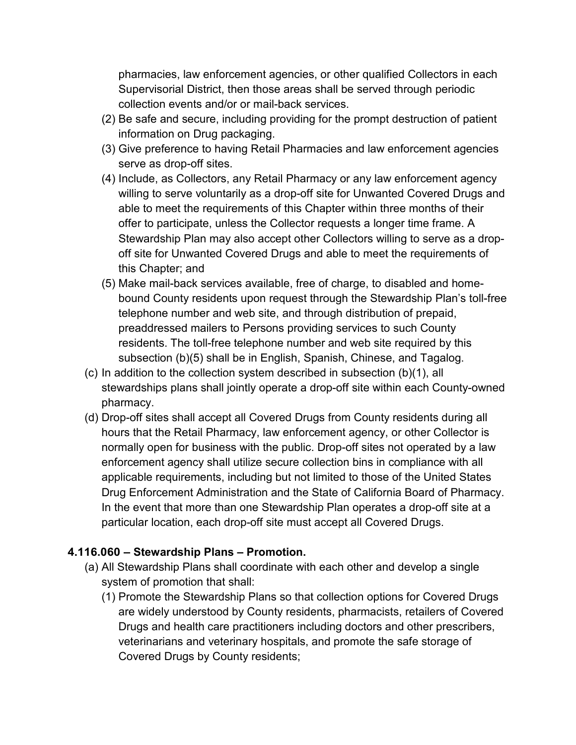pharmacies, law enforcement agencies, or other qualified Collectors in each Supervisorial District, then those areas shall be served through periodic collection events and/or or mail-back services.

- (2) Be safe and secure, including providing for the prompt destruction of patient information on Drug packaging.
- (3) Give preference to having Retail Pharmacies and law enforcement agencies serve as drop-off sites.
- (4) Include, as Collectors, any Retail Pharmacy or any law enforcement agency willing to serve voluntarily as a drop-off site for Unwanted Covered Drugs and able to meet the requirements of this Chapter within three months of their offer to participate, unless the Collector requests a longer time frame. A Stewardship Plan may also accept other Collectors willing to serve as a dropoff site for Unwanted Covered Drugs and able to meet the requirements of this Chapter; and
- (5) Make mail-back services available, free of charge, to disabled and homebound County residents upon request through the Stewardship Plan's toll-free telephone number and web site, and through distribution of prepaid, preaddressed mailers to Persons providing services to such County residents. The toll-free telephone number and web site required by this subsection (b)(5) shall be in English, Spanish, Chinese, and Tagalog.
- (c) In addition to the collection system described in subsection (b)(1), all stewardships plans shall jointly operate a drop-off site within each County-owned pharmacy.
- (d) Drop-off sites shall accept all Covered Drugs from County residents during all hours that the Retail Pharmacy, law enforcement agency, or other Collector is normally open for business with the public. Drop-off sites not operated by a law enforcement agency shall utilize secure collection bins in compliance with all applicable requirements, including but not limited to those of the United States Drug Enforcement Administration and the State of California Board of Pharmacy. In the event that more than one Stewardship Plan operates a drop-off site at a particular location, each drop-off site must accept all Covered Drugs.

#### **4.116.060 – Stewardship Plans – Promotion.**

- (a) All Stewardship Plans shall coordinate with each other and develop a single system of promotion that shall:
	- (1) Promote the Stewardship Plans so that collection options for Covered Drugs are widely understood by County residents, pharmacists, retailers of Covered Drugs and health care practitioners including doctors and other prescribers, veterinarians and veterinary hospitals, and promote the safe storage of Covered Drugs by County residents;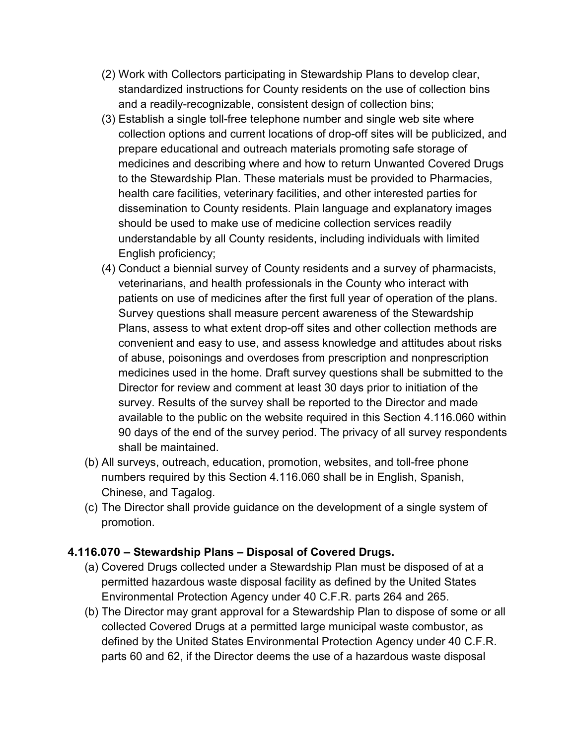- (2) Work with Collectors participating in Stewardship Plans to develop clear, standardized instructions for County residents on the use of collection bins and a readily-recognizable, consistent design of collection bins;
- (3) Establish a single toll-free telephone number and single web site where collection options and current locations of drop-off sites will be publicized, and prepare educational and outreach materials promoting safe storage of medicines and describing where and how to return Unwanted Covered Drugs to the Stewardship Plan. These materials must be provided to Pharmacies, health care facilities, veterinary facilities, and other interested parties for dissemination to County residents. Plain language and explanatory images should be used to make use of medicine collection services readily understandable by all County residents, including individuals with limited English proficiency;
- (4) Conduct a biennial survey of County residents and a survey of pharmacists, veterinarians, and health professionals in the County who interact with patients on use of medicines after the first full year of operation of the plans. Survey questions shall measure percent awareness of the Stewardship Plans, assess to what extent drop-off sites and other collection methods are convenient and easy to use, and assess knowledge and attitudes about risks of abuse, poisonings and overdoses from prescription and nonprescription medicines used in the home. Draft survey questions shall be submitted to the Director for review and comment at least 30 days prior to initiation of the survey. Results of the survey shall be reported to the Director and made available to the public on the website required in this Section 4.116.060 within 90 days of the end of the survey period. The privacy of all survey respondents shall be maintained.
- (b) All surveys, outreach, education, promotion, websites, and toll-free phone numbers required by this Section 4.116.060 shall be in English, Spanish, Chinese, and Tagalog.
- (c) The Director shall provide guidance on the development of a single system of promotion.

#### **4.116.070 – Stewardship Plans – Disposal of Covered Drugs.**

- (a) Covered Drugs collected under a Stewardship Plan must be disposed of at a permitted hazardous waste disposal facility as defined by the United States Environmental Protection Agency under 40 C.F.R. parts 264 and 265.
- (b) The Director may grant approval for a Stewardship Plan to dispose of some or all collected Covered Drugs at a permitted large municipal waste combustor, as defined by the United States Environmental Protection Agency under 40 C.F.R. parts 60 and 62, if the Director deems the use of a hazardous waste disposal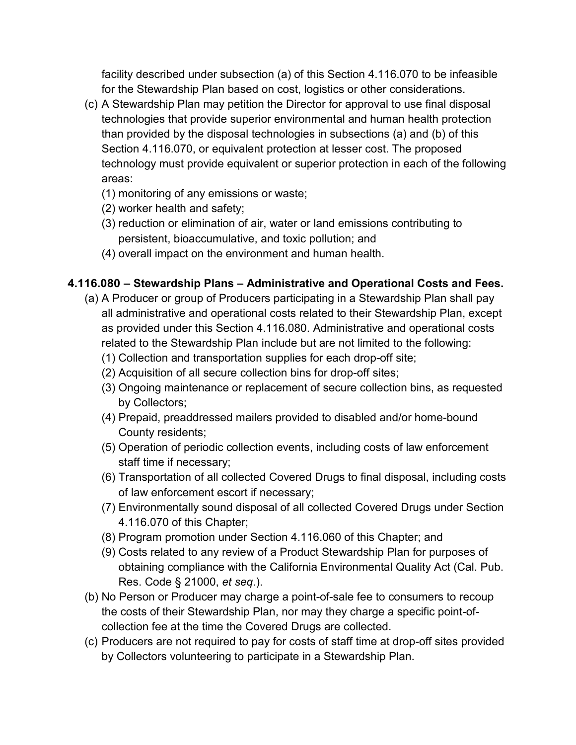facility described under subsection (a) of this Section 4.116.070 to be infeasible for the Stewardship Plan based on cost, logistics or other considerations.

- (c) A Stewardship Plan may petition the Director for approval to use final disposal technologies that provide superior environmental and human health protection than provided by the disposal technologies in subsections (a) and (b) of this Section 4.116.070, or equivalent protection at lesser cost. The proposed technology must provide equivalent or superior protection in each of the following areas:
	- (1) monitoring of any emissions or waste;
	- (2) worker health and safety;
	- (3) reduction or elimination of air, water or land emissions contributing to persistent, bioaccumulative, and toxic pollution; and
	- (4) overall impact on the environment and human health.

# **4.116.080 – Stewardship Plans – Administrative and Operational Costs and Fees.**

- (a) A Producer or group of Producers participating in a Stewardship Plan shall pay all administrative and operational costs related to their Stewardship Plan, except as provided under this Section 4.116.080. Administrative and operational costs related to the Stewardship Plan include but are not limited to the following:
	- (1) Collection and transportation supplies for each drop-off site;
	- (2) Acquisition of all secure collection bins for drop-off sites;
	- (3) Ongoing maintenance or replacement of secure collection bins, as requested by Collectors;
	- (4) Prepaid, preaddressed mailers provided to disabled and/or home-bound County residents;
	- (5) Operation of periodic collection events, including costs of law enforcement staff time if necessary;
	- (6) Transportation of all collected Covered Drugs to final disposal, including costs of law enforcement escort if necessary;
	- (7) Environmentally sound disposal of all collected Covered Drugs under Section 4.116.070 of this Chapter;
	- (8) Program promotion under Section 4.116.060 of this Chapter; and
	- (9) Costs related to any review of a Product Stewardship Plan for purposes of obtaining compliance with the California Environmental Quality Act (Cal. Pub. Res. Code § 21000, *et seq*.).
- (b) No Person or Producer may charge a point-of-sale fee to consumers to recoup the costs of their Stewardship Plan, nor may they charge a specific point-ofcollection fee at the time the Covered Drugs are collected.
- (c) Producers are not required to pay for costs of staff time at drop-off sites provided by Collectors volunteering to participate in a Stewardship Plan.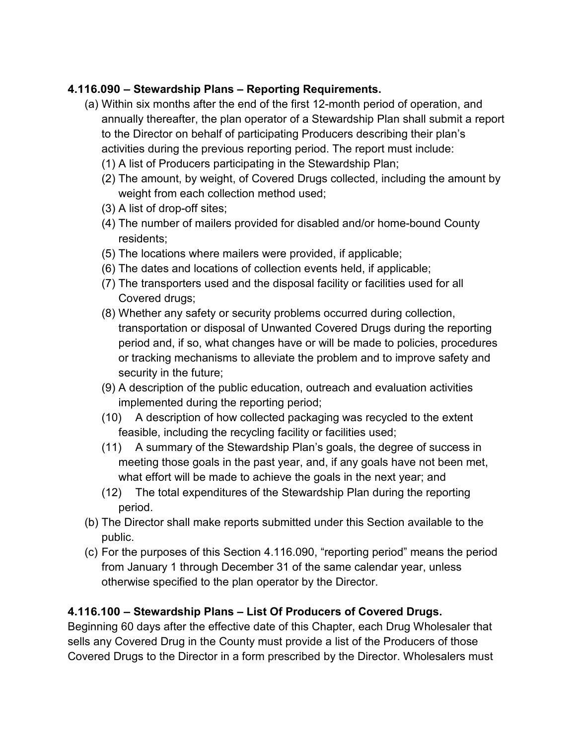## **4.116.090 – Stewardship Plans – Reporting Requirements.**

- (a) Within six months after the end of the first 12-month period of operation, and annually thereafter, the plan operator of a Stewardship Plan shall submit a report to the Director on behalf of participating Producers describing their plan's activities during the previous reporting period. The report must include:
	- (1) A list of Producers participating in the Stewardship Plan;
	- (2) The amount, by weight, of Covered Drugs collected, including the amount by weight from each collection method used;
	- (3) A list of drop-off sites;
	- (4) The number of mailers provided for disabled and/or home-bound County residents;
	- (5) The locations where mailers were provided, if applicable;
	- (6) The dates and locations of collection events held, if applicable;
	- (7) The transporters used and the disposal facility or facilities used for all Covered drugs;
	- (8) Whether any safety or security problems occurred during collection, transportation or disposal of Unwanted Covered Drugs during the reporting period and, if so, what changes have or will be made to policies, procedures or tracking mechanisms to alleviate the problem and to improve safety and security in the future;
	- (9) A description of the public education, outreach and evaluation activities implemented during the reporting period;
	- (10) A description of how collected packaging was recycled to the extent feasible, including the recycling facility or facilities used;
	- (11) A summary of the Stewardship Plan's goals, the degree of success in meeting those goals in the past year, and, if any goals have not been met, what effort will be made to achieve the goals in the next year; and
	- (12) The total expenditures of the Stewardship Plan during the reporting period.
- (b) The Director shall make reports submitted under this Section available to the public.
- (c) For the purposes of this Section 4.116.090, "reporting period" means the period from January 1 through December 31 of the same calendar year, unless otherwise specified to the plan operator by the Director.

## **4.116.100 – Stewardship Plans – List Of Producers of Covered Drugs.**

Beginning 60 days after the effective date of this Chapter, each Drug Wholesaler that sells any Covered Drug in the County must provide a list of the Producers of those Covered Drugs to the Director in a form prescribed by the Director. Wholesalers must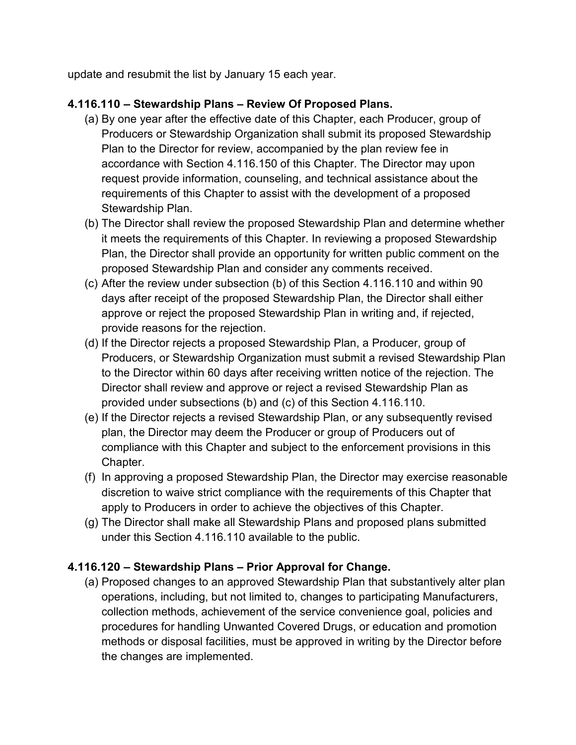update and resubmit the list by January 15 each year.

## **4.116.110 – Stewardship Plans – Review Of Proposed Plans.**

- (a) By one year after the effective date of this Chapter, each Producer, group of Producers or Stewardship Organization shall submit its proposed Stewardship Plan to the Director for review, accompanied by the plan review fee in accordance with Section 4.116.150 of this Chapter. The Director may upon request provide information, counseling, and technical assistance about the requirements of this Chapter to assist with the development of a proposed Stewardship Plan.
- (b) The Director shall review the proposed Stewardship Plan and determine whether it meets the requirements of this Chapter. In reviewing a proposed Stewardship Plan, the Director shall provide an opportunity for written public comment on the proposed Stewardship Plan and consider any comments received.
- (c) After the review under subsection (b) of this Section 4.116.110 and within 90 days after receipt of the proposed Stewardship Plan, the Director shall either approve or reject the proposed Stewardship Plan in writing and, if rejected, provide reasons for the rejection.
- (d) If the Director rejects a proposed Stewardship Plan, a Producer, group of Producers, or Stewardship Organization must submit a revised Stewardship Plan to the Director within 60 days after receiving written notice of the rejection. The Director shall review and approve or reject a revised Stewardship Plan as provided under subsections (b) and (c) of this Section 4.116.110.
- (e) If the Director rejects a revised Stewardship Plan, or any subsequently revised plan, the Director may deem the Producer or group of Producers out of compliance with this Chapter and subject to the enforcement provisions in this Chapter.
- (f) In approving a proposed Stewardship Plan, the Director may exercise reasonable discretion to waive strict compliance with the requirements of this Chapter that apply to Producers in order to achieve the objectives of this Chapter.
- (g) The Director shall make all Stewardship Plans and proposed plans submitted under this Section 4.116.110 available to the public.

# **4.116.120 – Stewardship Plans – Prior Approval for Change.**

(a) Proposed changes to an approved Stewardship Plan that substantively alter plan operations, including, but not limited to, changes to participating Manufacturers, collection methods, achievement of the service convenience goal, policies and procedures for handling Unwanted Covered Drugs, or education and promotion methods or disposal facilities, must be approved in writing by the Director before the changes are implemented.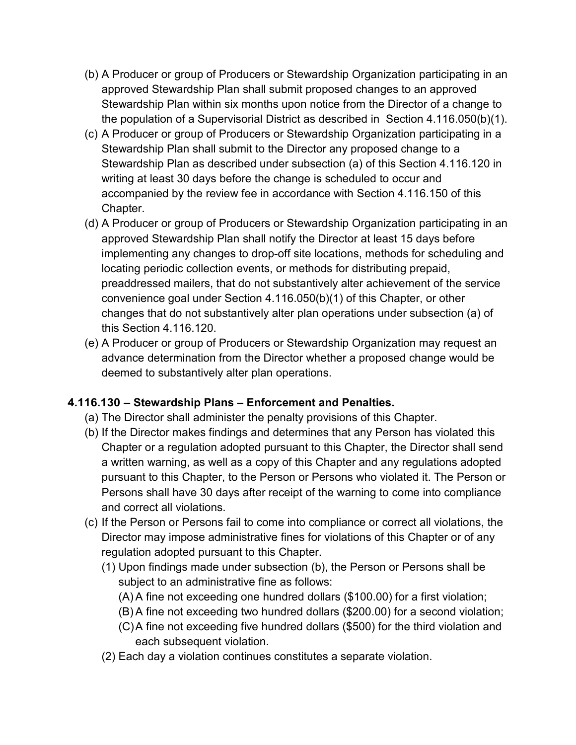- (b) A Producer or group of Producers or Stewardship Organization participating in an approved Stewardship Plan shall submit proposed changes to an approved Stewardship Plan within six months upon notice from the Director of a change to the population of a Supervisorial District as described in Section 4.116.050(b)(1).
- (c) A Producer or group of Producers or Stewardship Organization participating in a Stewardship Plan shall submit to the Director any proposed change to a Stewardship Plan as described under subsection (a) of this Section 4.116.120 in writing at least 30 days before the change is scheduled to occur and accompanied by the review fee in accordance with Section 4.116.150 of this Chapter.
- (d) A Producer or group of Producers or Stewardship Organization participating in an approved Stewardship Plan shall notify the Director at least 15 days before implementing any changes to drop-off site locations, methods for scheduling and locating periodic collection events, or methods for distributing prepaid, preaddressed mailers, that do not substantively alter achievement of the service convenience goal under Section 4.116.050(b)(1) of this Chapter, or other changes that do not substantively alter plan operations under subsection (a) of this Section 4.116.120.
- (e) A Producer or group of Producers or Stewardship Organization may request an advance determination from the Director whether a proposed change would be deemed to substantively alter plan operations.

## **4.116.130 – Stewardship Plans – Enforcement and Penalties.**

- (a) The Director shall administer the penalty provisions of this Chapter.
- (b) If the Director makes findings and determines that any Person has violated this Chapter or a regulation adopted pursuant to this Chapter, the Director shall send a written warning, as well as a copy of this Chapter and any regulations adopted pursuant to this Chapter, to the Person or Persons who violated it. The Person or Persons shall have 30 days after receipt of the warning to come into compliance and correct all violations.
- (c) If the Person or Persons fail to come into compliance or correct all violations, the Director may impose administrative fines for violations of this Chapter or of any regulation adopted pursuant to this Chapter.
	- (1) Upon findings made under subsection (b), the Person or Persons shall be subject to an administrative fine as follows:
		- (A) A fine not exceeding one hundred dollars (\$100.00) for a first violation;
		- (B) A fine not exceeding two hundred dollars (\$200.00) for a second violation;
		- (C) A fine not exceeding five hundred dollars (\$500) for the third violation and each subsequent violation.
	- (2) Each day a violation continues constitutes a separate violation.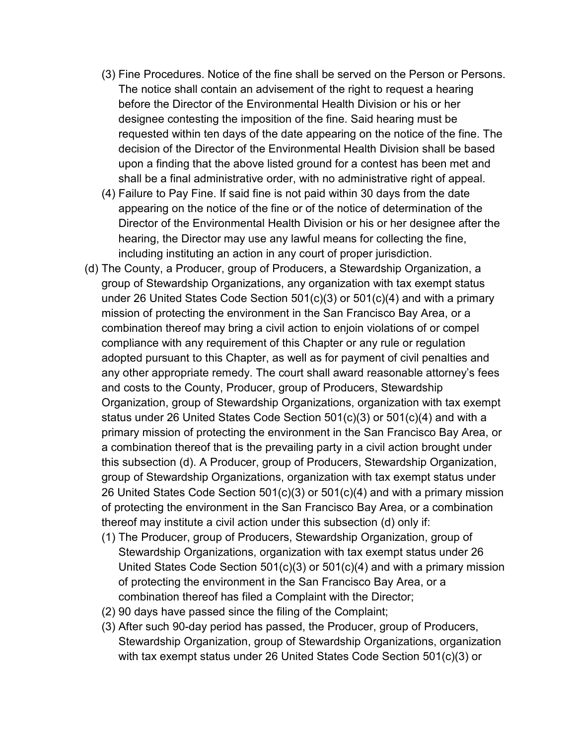- (3) Fine Procedures. Notice of the fine shall be served on the Person or Persons. The notice shall contain an advisement of the right to request a hearing before the Director of the Environmental Health Division or his or her designee contesting the imposition of the fine. Said hearing must be requested within ten days of the date appearing on the notice of the fine. The decision of the Director of the Environmental Health Division shall be based upon a finding that the above listed ground for a contest has been met and shall be a final administrative order, with no administrative right of appeal.
- (4) Failure to Pay Fine. If said fine is not paid within 30 days from the date appearing on the notice of the fine or of the notice of determination of the Director of the Environmental Health Division or his or her designee after the hearing, the Director may use any lawful means for collecting the fine, including instituting an action in any court of proper jurisdiction.
- (d) The County, a Producer, group of Producers, a Stewardship Organization, a group of Stewardship Organizations, any organization with tax exempt status under 26 United States Code Section 501(c)(3) or 501(c)(4) and with a primary mission of protecting the environment in the San Francisco Bay Area, or a combination thereof may bring a civil action to enjoin violations of or compel compliance with any requirement of this Chapter or any rule or regulation adopted pursuant to this Chapter, as well as for payment of civil penalties and any other appropriate remedy. The court shall award reasonable attorney's fees and costs to the County, Producer, group of Producers, Stewardship Organization, group of Stewardship Organizations, organization with tax exempt status under 26 United States Code Section 501(c)(3) or 501(c)(4) and with a primary mission of protecting the environment in the San Francisco Bay Area, or a combination thereof that is the prevailing party in a civil action brought under this subsection (d). A Producer, group of Producers, Stewardship Organization, group of Stewardship Organizations, organization with tax exempt status under 26 United States Code Section 501(c)(3) or 501(c)(4) and with a primary mission of protecting the environment in the San Francisco Bay Area, or a combination thereof may institute a civil action under this subsection (d) only if:
	- (1) The Producer, group of Producers, Stewardship Organization, group of Stewardship Organizations, organization with tax exempt status under 26 United States Code Section 501(c)(3) or 501(c)(4) and with a primary mission of protecting the environment in the San Francisco Bay Area, or a combination thereof has filed a Complaint with the Director;
	- (2) 90 days have passed since the filing of the Complaint;
	- (3) After such 90-day period has passed, the Producer, group of Producers, Stewardship Organization, group of Stewardship Organizations, organization with tax exempt status under 26 United States Code Section 501(c)(3) or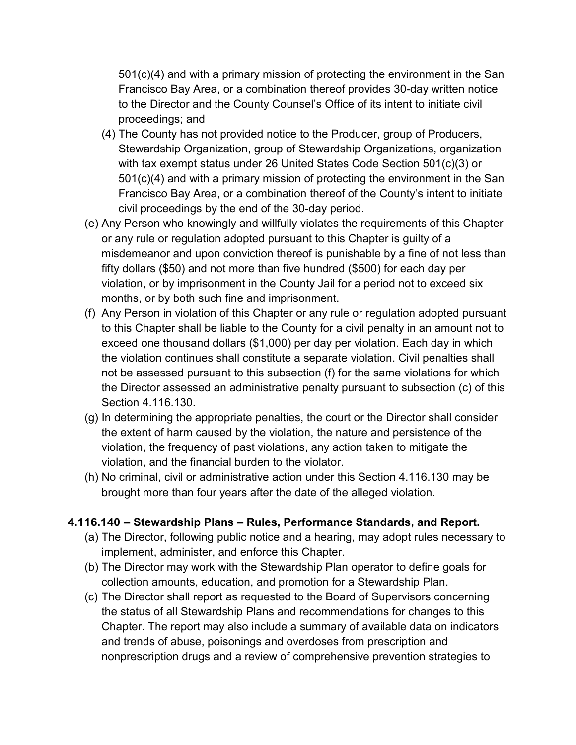501(c)(4) and with a primary mission of protecting the environment in the San Francisco Bay Area, or a combination thereof provides 30-day written notice to the Director and the County Counsel's Office of its intent to initiate civil proceedings; and

- (4) The County has not provided notice to the Producer, group of Producers, Stewardship Organization, group of Stewardship Organizations, organization with tax exempt status under 26 United States Code Section 501(c)(3) or 501(c)(4) and with a primary mission of protecting the environment in the San Francisco Bay Area, or a combination thereof of the County's intent to initiate civil proceedings by the end of the 30-day period.
- (e) Any Person who knowingly and willfully violates the requirements of this Chapter or any rule or regulation adopted pursuant to this Chapter is guilty of a misdemeanor and upon conviction thereof is punishable by a fine of not less than fifty dollars (\$50) and not more than five hundred (\$500) for each day per violation, or by imprisonment in the County Jail for a period not to exceed six months, or by both such fine and imprisonment.
- (f) Any Person in violation of this Chapter or any rule or regulation adopted pursuant to this Chapter shall be liable to the County for a civil penalty in an amount not to exceed one thousand dollars (\$1,000) per day per violation. Each day in which the violation continues shall constitute a separate violation. Civil penalties shall not be assessed pursuant to this subsection (f) for the same violations for which the Director assessed an administrative penalty pursuant to subsection (c) of this Section 4.116.130.
- (g) In determining the appropriate penalties, the court or the Director shall consider the extent of harm caused by the violation, the nature and persistence of the violation, the frequency of past violations, any action taken to mitigate the violation, and the financial burden to the violator.
- (h) No criminal, civil or administrative action under this Section 4.116.130 may be brought more than four years after the date of the alleged violation.

#### **4.116.140 – Stewardship Plans – Rules, Performance Standards, and Report.**

- (a) The Director, following public notice and a hearing, may adopt rules necessary to implement, administer, and enforce this Chapter.
- (b) The Director may work with the Stewardship Plan operator to define goals for collection amounts, education, and promotion for a Stewardship Plan.
- (c) The Director shall report as requested to the Board of Supervisors concerning the status of all Stewardship Plans and recommendations for changes to this Chapter. The report may also include a summary of available data on indicators and trends of abuse, poisonings and overdoses from prescription and nonprescription drugs and a review of comprehensive prevention strategies to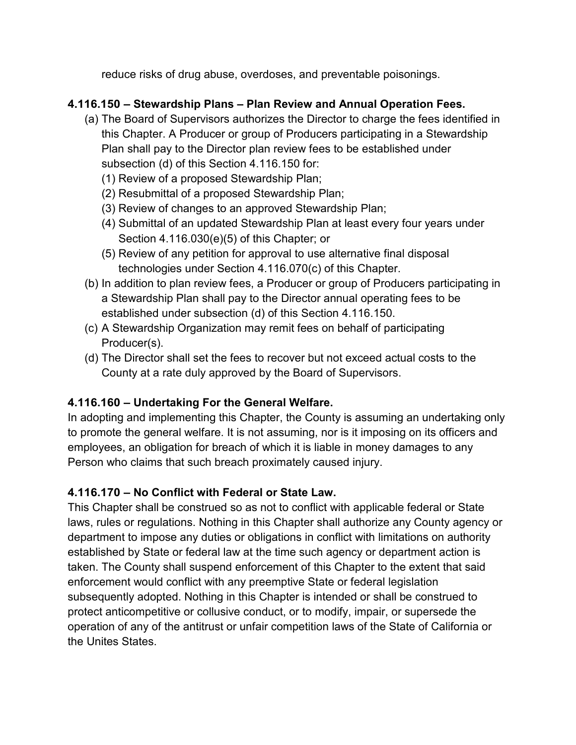reduce risks of drug abuse, overdoses, and preventable poisonings.

# **4.116.150 – Stewardship Plans – Plan Review and Annual Operation Fees.**

- (a) The Board of Supervisors authorizes the Director to charge the fees identified in this Chapter. A Producer or group of Producers participating in a Stewardship Plan shall pay to the Director plan review fees to be established under subsection (d) of this Section 4.116.150 for:
	- (1) Review of a proposed Stewardship Plan;
	- (2) Resubmittal of a proposed Stewardship Plan;
	- (3) Review of changes to an approved Stewardship Plan;
	- (4) Submittal of an updated Stewardship Plan at least every four years under Section 4.116.030(e)(5) of this Chapter; or
	- (5) Review of any petition for approval to use alternative final disposal technologies under Section 4.116.070(c) of this Chapter.
- (b) In addition to plan review fees, a Producer or group of Producers participating in a Stewardship Plan shall pay to the Director annual operating fees to be established under subsection (d) of this Section 4.116.150.
- (c) A Stewardship Organization may remit fees on behalf of participating Producer(s).
- (d) The Director shall set the fees to recover but not exceed actual costs to the County at a rate duly approved by the Board of Supervisors.

# **4.116.160 – Undertaking For the General Welfare.**

In adopting and implementing this Chapter, the County is assuming an undertaking only to promote the general welfare. It is not assuming, nor is it imposing on its officers and employees, an obligation for breach of which it is liable in money damages to any Person who claims that such breach proximately caused injury.

# **4.116.170 – No Conflict with Federal or State Law.**

This Chapter shall be construed so as not to conflict with applicable federal or State laws, rules or regulations. Nothing in this Chapter shall authorize any County agency or department to impose any duties or obligations in conflict with limitations on authority established by State or federal law at the time such agency or department action is taken. The County shall suspend enforcement of this Chapter to the extent that said enforcement would conflict with any preemptive State or federal legislation subsequently adopted. Nothing in this Chapter is intended or shall be construed to protect anticompetitive or collusive conduct, or to modify, impair, or supersede the operation of any of the antitrust or unfair competition laws of the State of California or the Unites States.